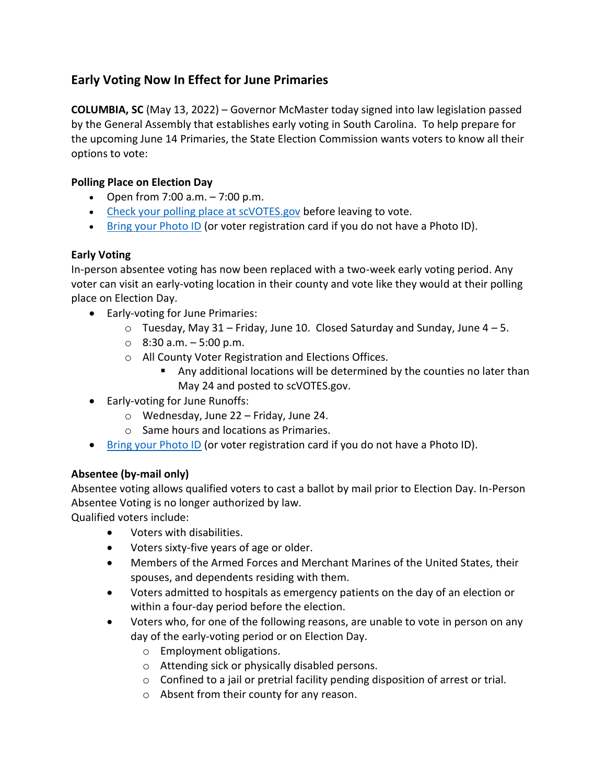## **Early Voting Now In Effect for June Primaries**

**COLUMBIA, SC** (May 13, 2022) – Governor McMaster today signed into law legislation passed by the General Assembly that establishes early voting in South Carolina. To help prepare for the upcoming June 14 Primaries, the State Election Commission wants voters to know all their options to vote:

## **Polling Place on Election Day**

- Open from  $7:00$  a.m.  $-7:00$  p.m.
- [Check your polling place at scVOTES.gov](https://info.scvotes.sc.gov/eng/voterinquiry/VoterInformationRequest.aspx?PageMode=VoterInfo) before leaving to vote.
- [Bring your Photo ID](https://gcc02.safelinks.protection.outlook.com/?url=https%3A%2F%2Fwww.scvotes.org%2Fnode%2F235&data=05%7C01%7CDebby.Stidham%40fairfield.sc.gov%7C97502ef90a884e5f17b008da3523501a%7Ce9f8d01480d84f27b0d6c3d6c085fcdd%7C0%7C0%7C637880723044190431%7CUnknown%7CTWFpbGZsb3d8eyJWIjoiMC4wLjAwMDAiLCJQIjoiV2luMzIiLCJBTiI6Ik1haWwiLCJXVCI6Mn0%3D%7C3000%7C%7C%7C&sdata=6EUMh%2F2MRLZvQHFvEL3X%2FQFHKLNnVLrnPkpzr%2B5gcWA%3D&reserved=0) (or voter registration card if you do not have a Photo ID).

## **Early Voting**

In-person absentee voting has now been replaced with a two-week early voting period. Any voter can visit an early-voting location in their county and vote like they would at their polling place on Election Day.

- Early-voting for June Primaries:
	- $\circ$  Tuesday, May 31 Friday, June 10. Closed Saturday and Sunday, June 4 5.
	- $\circ$  8:30 a.m.  $-5:00$  p.m.
	- o All County Voter Registration and Elections Offices.
		- Any additional locations will be determined by the counties no later than May 24 and posted to scVOTES.gov.
- Early-voting for June Runoffs:
	- o Wednesday, June 22 Friday, June 24.
	- o Same hours and locations as Primaries.
- [Bring your Photo ID](https://gcc02.safelinks.protection.outlook.com/?url=https%3A%2F%2Fwww.scvotes.org%2Fnode%2F235&data=05%7C01%7CDebby.Stidham%40fairfield.sc.gov%7C97502ef90a884e5f17b008da3523501a%7Ce9f8d01480d84f27b0d6c3d6c085fcdd%7C0%7C0%7C637880723044190431%7CUnknown%7CTWFpbGZsb3d8eyJWIjoiMC4wLjAwMDAiLCJQIjoiV2luMzIiLCJBTiI6Ik1haWwiLCJXVCI6Mn0%3D%7C3000%7C%7C%7C&sdata=6EUMh%2F2MRLZvQHFvEL3X%2FQFHKLNnVLrnPkpzr%2B5gcWA%3D&reserved=0) (or voter registration card if you do not have a Photo ID).

## **Absentee (by-mail only)**

Absentee voting allows qualified voters to cast a ballot by mail prior to Election Day. In-Person Absentee Voting is no longer authorized by law.

Qualified voters include:

- Voters with disabilities.
- Voters sixty-five years of age or older.
- Members of the Armed Forces and Merchant Marines of the United States, their spouses, and dependents residing with them.
- Voters admitted to hospitals as emergency patients on the day of an election or within a four-day period before the election.
- Voters who, for one of the following reasons, are unable to vote in person on any day of the early-voting period or on Election Day.
	- o Employment obligations.
	- o Attending sick or physically disabled persons.
	- o Confined to a jail or pretrial facility pending disposition of arrest or trial.
	- o Absent from their county for any reason.